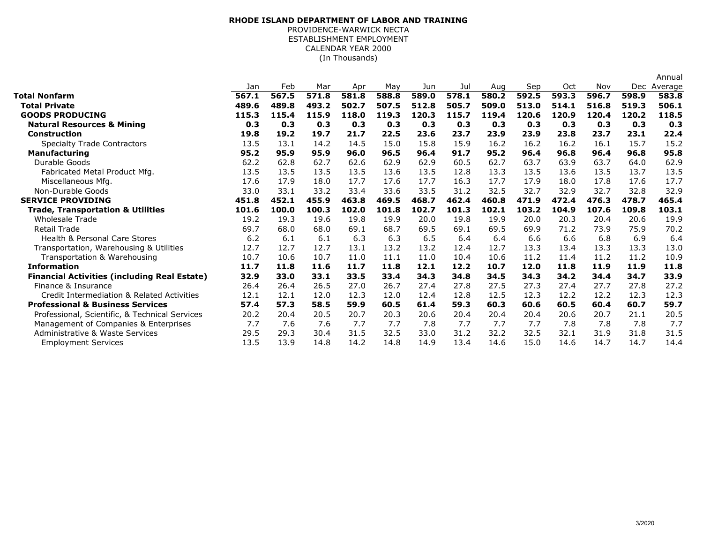## (In Thousands)**RHODE ISLAND DEPARTMENT OF LABOR AND TRAINING**PROVIDENCE-WARWICK NECTA ESTABLISHMENT EMPLOYMENTCALENDAR YEAR 2000

|                                                     |       |       |       |       |       |       |       |       |       |       |       |                | Annual |
|-----------------------------------------------------|-------|-------|-------|-------|-------|-------|-------|-------|-------|-------|-------|----------------|--------|
|                                                     | Jan   | Feb   | Mar   | Apr   | May   | Jun   | Jul   | Aug   | Sep   | Oct   | Nov   | Dec<br>Average |        |
| <b>Total Nonfarm</b>                                | 567.1 | 567.5 | 571.8 | 581.8 | 588.8 | 589.0 | 578.1 | 580.2 | 592.5 | 593.3 | 596.7 | 598.9          | 583.8  |
| <b>Total Private</b>                                | 489.6 | 489.8 | 493.2 | 502.7 | 507.5 | 512.8 | 505.7 | 509.0 | 513.0 | 514.1 | 516.8 | 519.3          | 506.1  |
| <b>GOODS PRODUCING</b>                              | 115.3 | 115.4 | 115.9 | 118.0 | 119.3 | 120.3 | 115.7 | 119.4 | 120.6 | 120.9 | 120.4 | 120.2          | 118.5  |
| <b>Natural Resources &amp; Mining</b>               | 0.3   | 0.3   | 0.3   | 0.3   | 0.3   | 0.3   | 0.3   | 0.3   | 0.3   | 0.3   | 0.3   | 0.3            | 0.3    |
| <b>Construction</b>                                 | 19.8  | 19.2  | 19.7  | 21.7  | 22.5  | 23.6  | 23.7  | 23.9  | 23.9  | 23.8  | 23.7  | 23.1           | 22.4   |
| <b>Specialty Trade Contractors</b>                  | 13.5  | 13.1  | 14.2  | 14.5  | 15.0  | 15.8  | 15.9  | 16.2  | 16.2  | 16.2  | 16.1  | 15.7           | 15.2   |
| <b>Manufacturing</b>                                | 95.2  | 95.9  | 95.9  | 96.0  | 96.5  | 96.4  | 91.7  | 95.2  | 96.4  | 96.8  | 96.4  | 96.8           | 95.8   |
| Durable Goods                                       | 62.2  | 62.8  | 62.7  | 62.6  | 62.9  | 62.9  | 60.5  | 62.7  | 63.7  | 63.9  | 63.7  | 64.0           | 62.9   |
| Fabricated Metal Product Mfg.                       | 13.5  | 13.5  | 13.5  | 13.5  | 13.6  | 13.5  | 12.8  | 13.3  | 13.5  | 13.6  | 13.5  | 13.7           | 13.5   |
| Miscellaneous Mfg.                                  | 17.6  | 17.9  | 18.0  | 17.7  | 17.6  | 17.7  | 16.3  | 17.7  | 17.9  | 18.0  | 17.8  | 17.6           | 17.7   |
| Non-Durable Goods                                   | 33.0  | 33.1  | 33.2  | 33.4  | 33.6  | 33.5  | 31.2  | 32.5  | 32.7  | 32.9  | 32.7  | 32.8           | 32.9   |
| <b>SERVICE PROVIDING</b>                            | 451.8 | 452.1 | 455.9 | 463.8 | 469.5 | 468.7 | 462.4 | 460.8 | 471.9 | 472.4 | 476.3 | 478.7          | 465.4  |
| <b>Trade, Transportation &amp; Utilities</b>        | 101.6 | 100.0 | 100.3 | 102.0 | 101.8 | 102.7 | 101.3 | 102.1 | 103.2 | 104.9 | 107.6 | 109.8          | 103.1  |
| <b>Wholesale Trade</b>                              | 19.2  | 19.3  | 19.6  | 19.8  | 19.9  | 20.0  | 19.8  | 19.9  | 20.0  | 20.3  | 20.4  | 20.6           | 19.9   |
| <b>Retail Trade</b>                                 | 69.7  | 68.0  | 68.0  | 69.1  | 68.7  | 69.5  | 69.1  | 69.5  | 69.9  | 71.2  | 73.9  | 75.9           | 70.2   |
| Health & Personal Care Stores                       | 6.2   | 6.1   | 6.1   | 6.3   | 6.3   | 6.5   | 6.4   | 6.4   | 6.6   | 6.6   | 6.8   | 6.9            | 6.4    |
| Transportation, Warehousing & Utilities             | 12.7  | 12.7  | 12.7  | 13.1  | 13.2  | 13.2  | 12.4  | 12.7  | 13.3  | 13.4  | 13.3  | 13.3           | 13.0   |
| Transportation & Warehousing                        | 10.7  | 10.6  | 10.7  | 11.0  | 11.1  | 11.0  | 10.4  | 10.6  | 11.2  | 11.4  | 11.2  | 11.2           | 10.9   |
| <b>Information</b>                                  | 11.7  | 11.8  | 11.6  | 11.7  | 11.8  | 12.1  | 12.2  | 10.7  | 12.0  | 11.8  | 11.9  | 11.9           | 11.8   |
| <b>Financial Activities (including Real Estate)</b> | 32.9  | 33.0  | 33.1  | 33.5  | 33.4  | 34.3  | 34.8  | 34.5  | 34.3  | 34.2  | 34.4  | 34.7           | 33.9   |
| Finance & Insurance                                 | 26.4  | 26.4  | 26.5  | 27.0  | 26.7  | 27.4  | 27.8  | 27.5  | 27.3  | 27.4  | 27.7  | 27.8           | 27.2   |
| Credit Intermediation & Related Activities          | 12.1  | 12.1  | 12.0  | 12.3  | 12.0  | 12.4  | 12.8  | 12.5  | 12.3  | 12.2  | 12.2  | 12.3           | 12.3   |
| <b>Professional &amp; Business Services</b>         | 57.4  | 57.3  | 58.5  | 59.9  | 60.5  | 61.4  | 59.3  | 60.3  | 60.6  | 60.5  | 60.4  | 60.7           | 59.7   |
| Professional, Scientific, & Technical Services      | 20.2  | 20.4  | 20.5  | 20.7  | 20.3  | 20.6  | 20.4  | 20.4  | 20.4  | 20.6  | 20.7  | 21.1           | 20.5   |
| Management of Companies & Enterprises               | 7.7   | 7.6   | 7.6   | 7.7   | 7.7   | 7.8   | 7.7   | 7.7   | 7.7   | 7.8   | 7.8   | 7.8            | 7.7    |
| <b>Administrative &amp; Waste Services</b>          | 29.5  | 29.3  | 30.4  | 31.5  | 32.5  | 33.0  | 31.2  | 32.2  | 32.5  | 32.1  | 31.9  | 31.8           | 31.5   |
| <b>Employment Services</b>                          | 13.5  | 13.9  | 14.8  | 14.2  | 14.8  | 14.9  | 13.4  | 14.6  | 15.0  | 14.6  | 14.7  | 14.7           | 14.4   |
|                                                     |       |       |       |       |       |       |       |       |       |       |       |                |        |